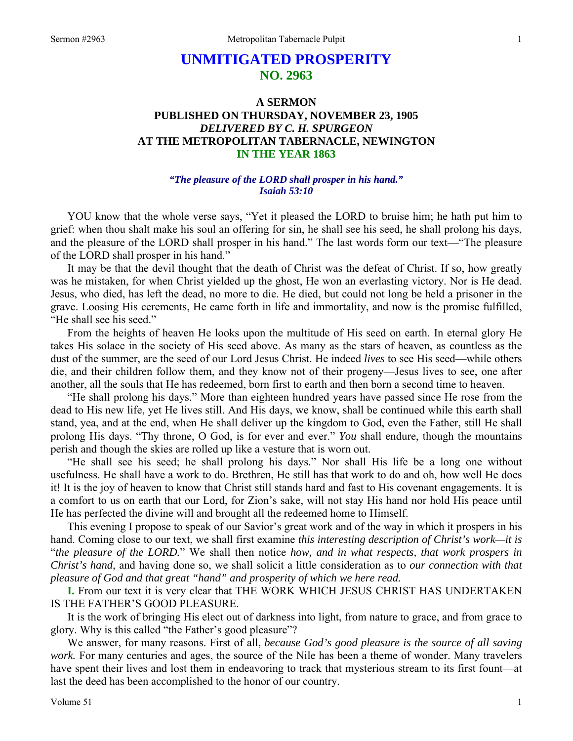# **UNMITIGATED PROSPERITY NO. 2963**

# **A SERMON PUBLISHED ON THURSDAY, NOVEMBER 23, 1905**  *DELIVERED BY C. H. SPURGEON*  **AT THE METROPOLITAN TABERNACLE, NEWINGTON IN THE YEAR 1863**

### *"The pleasure of the LORD shall prosper in his hand." Isaiah 53:10*

YOU know that the whole verse says, "Yet it pleased the LORD to bruise him; he hath put him to grief: when thou shalt make his soul an offering for sin, he shall see his seed, he shall prolong his days, and the pleasure of the LORD shall prosper in his hand." The last words form our text—"The pleasure of the LORD shall prosper in his hand."

 It may be that the devil thought that the death of Christ was the defeat of Christ. If so, how greatly was he mistaken, for when Christ yielded up the ghost, He won an everlasting victory. Nor is He dead. Jesus, who died, has left the dead, no more to die. He died, but could not long be held a prisoner in the grave. Loosing His cerements, He came forth in life and immortality, and now is the promise fulfilled, "He shall see his seed."

 From the heights of heaven He looks upon the multitude of His seed on earth. In eternal glory He takes His solace in the society of His seed above. As many as the stars of heaven, as countless as the dust of the summer, are the seed of our Lord Jesus Christ. He indeed *lives* to see His seed—while others die, and their children follow them, and they know not of their progeny—Jesus lives to see, one after another, all the souls that He has redeemed, born first to earth and then born a second time to heaven.

 "He shall prolong his days." More than eighteen hundred years have passed since He rose from the dead to His new life, yet He lives still. And His days, we know, shall be continued while this earth shall stand, yea, and at the end, when He shall deliver up the kingdom to God, even the Father, still He shall prolong His days. "Thy throne, O God, is for ever and ever." *You* shall endure, though the mountains perish and though the skies are rolled up like a vesture that is worn out.

 "He shall see his seed; he shall prolong his days." Nor shall His life be a long one without usefulness. He shall have a work to do. Brethren, He still has that work to do and oh, how well He does it! It is the joy of heaven to know that Christ still stands hard and fast to His covenant engagements. It is a comfort to us on earth that our Lord, for Zion's sake, will not stay His hand nor hold His peace until He has perfected the divine will and brought all the redeemed home to Himself.

 This evening I propose to speak of our Savior's great work and of the way in which it prospers in his hand. Coming close to our text, we shall first examine *this interesting description of Christ's work—it is*  "*the pleasure of the LORD.*" We shall then notice *how, and in what respects, that work prospers in Christ's hand*, and having done so, we shall solicit a little consideration as to *our connection with that pleasure of God and that great "hand" and prosperity of which we here read.* 

**I.** From our text it is very clear that THE WORK WHICH JESUS CHRIST HAS UNDERTAKEN IS THE FATHER'S GOOD PLEASURE.

 It is the work of bringing His elect out of darkness into light, from nature to grace, and from grace to glory. Why is this called "the Father's good pleasure"?

 We answer, for many reasons. First of all, *because God's good pleasure is the source of all saving work.* For many centuries and ages, the source of the Nile has been a theme of wonder. Many travelers have spent their lives and lost them in endeavoring to track that mysterious stream to its first fount—at last the deed has been accomplished to the honor of our country.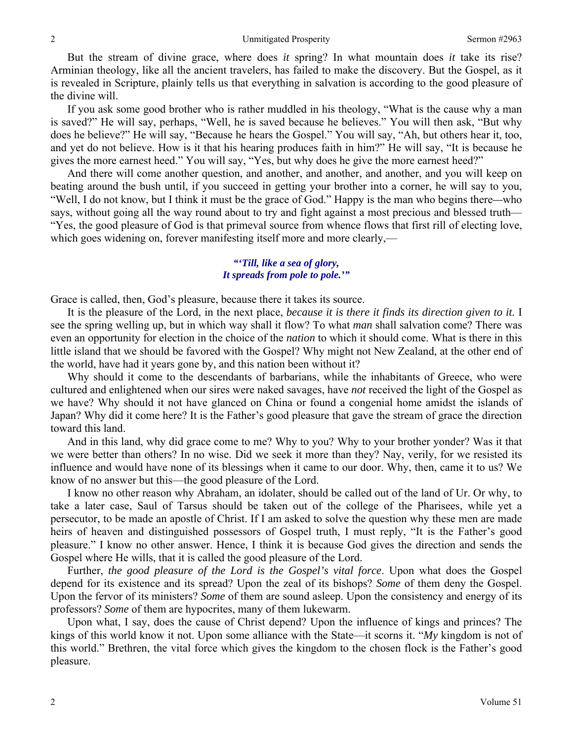But the stream of divine grace, where does *it* spring? In what mountain does *it* take its rise? Arminian theology, like all the ancient travelers, has failed to make the discovery. But the Gospel, as it is revealed in Scripture, plainly tells us that everything in salvation is according to the good pleasure of the divine will.

 If you ask some good brother who is rather muddled in his theology, "What is the cause why a man is saved?" He will say, perhaps, "Well, he is saved because he believes." You will then ask, "But why does he believe?" He will say, "Because he hears the Gospel." You will say, "Ah, but others hear it, too, and yet do not believe. How is it that his hearing produces faith in him?" He will say, "It is because he gives the more earnest heed." You will say, "Yes, but why does he give the more earnest heed?"

 And there will come another question, and another, and another, and another, and you will keep on beating around the bush until, if you succeed in getting your brother into a corner, he will say to you, "Well, I do not know, but I think it must be the grace of God." Happy is the man who begins there*—*who says, without going all the way round about to try and fight against a most precious and blessed truth— "Yes, the good pleasure of God is that primeval source from whence flows that first rill of electing love, which goes widening on, forever manifesting itself more and more clearly,—

## *"'Till, like a sea of glory, It spreads from pole to pole.'"*

Grace is called, then, God's pleasure, because there it takes its source.

 It is the pleasure of the Lord, in the next place, *because it is there it finds its direction given to it.* I see the spring welling up, but in which way shall it flow? To what *man* shall salvation come? There was even an opportunity for election in the choice of the *nation* to which it should come. What is there in this little island that we should be favored with the Gospel? Why might not New Zealand, at the other end of the world, have had it years gone by, and this nation been without it?

 Why should it come to the descendants of barbarians, while the inhabitants of Greece, who were cultured and enlightened when our sires were naked savages, have *not* received the light of the Gospel as we have? Why should it not have glanced on China or found a congenial home amidst the islands of Japan? Why did it come here? It is the Father's good pleasure that gave the stream of grace the direction toward this land.

 And in this land, why did grace come to me? Why to you? Why to your brother yonder? Was it that we were better than others? In no wise. Did we seek it more than they? Nay, verily, for we resisted its influence and would have none of its blessings when it came to our door. Why, then, came it to us? We know of no answer but this—the good pleasure of the Lord.

 I know no other reason why Abraham, an idolater, should be called out of the land of Ur. Or why, to take a later case, Saul of Tarsus should be taken out of the college of the Pharisees, while yet a persecutor, to be made an apostle of Christ. If I am asked to solve the question why these men are made heirs of heaven and distinguished possessors of Gospel truth, I must reply, "It is the Father's good pleasure." I know no other answer. Hence, I think it is because God gives the direction and sends the Gospel where He wills, that it is called the good pleasure of the Lord.

 Further, *the good pleasure of the Lord is the Gospel's vital force*. Upon what does the Gospel depend for its existence and its spread? Upon the zeal of its bishops? *Some* of them deny the Gospel. Upon the fervor of its ministers? *Some* of them are sound asleep. Upon the consistency and energy of its professors? *Some* of them are hypocrites, many of them lukewarm.

 Upon what, I say, does the cause of Christ depend? Upon the influence of kings and princes? The kings of this world know it not. Upon some alliance with the State—it scorns it. "*My* kingdom is not of this world." Brethren, the vital force which gives the kingdom to the chosen flock is the Father's good pleasure.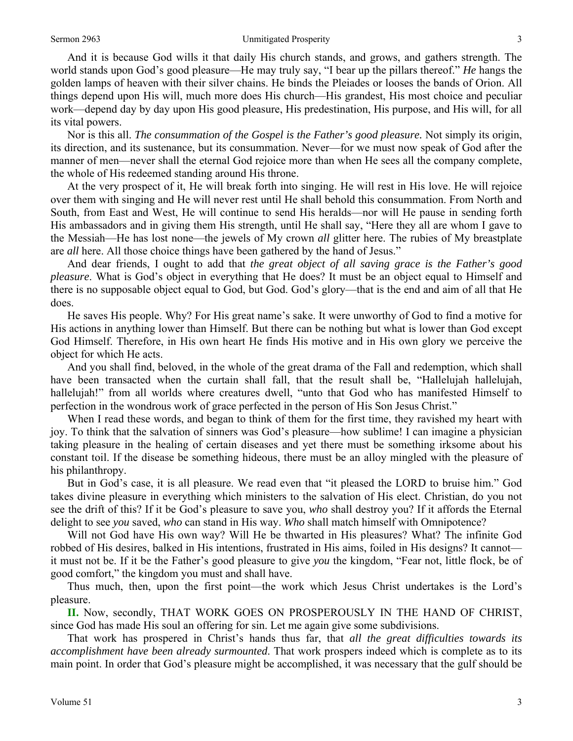#### Sermon 2963 **Sermon 2963** Unmitigated Prosperity 3

 And it is because God wills it that daily His church stands, and grows, and gathers strength. The world stands upon God's good pleasure—He may truly say, "I bear up the pillars thereof." *He* hangs the golden lamps of heaven with their silver chains. He binds the Pleiades or looses the bands of Orion. All things depend upon His will, much more does His church—His grandest, His most choice and peculiar work—depend day by day upon His good pleasure, His predestination, His purpose, and His will, for all its vital powers.

 Nor is this all. *The consummation of the Gospel is the Father's good pleasure.* Not simply its origin, its direction, and its sustenance, but its consummation. Never—for we must now speak of God after the manner of men—never shall the eternal God rejoice more than when He sees all the company complete, the whole of His redeemed standing around His throne.

 At the very prospect of it, He will break forth into singing. He will rest in His love. He will rejoice over them with singing and He will never rest until He shall behold this consummation. From North and South, from East and West, He will continue to send His heralds—nor will He pause in sending forth His ambassadors and in giving them His strength, until He shall say, "Here they all are whom I gave to the Messiah—He has lost none—the jewels of My crown *all* glitter here. The rubies of My breastplate are *all* here. All those choice things have been gathered by the hand of Jesus."

 And dear friends, I ought to add that *the great object of all saving grace is the Father's good pleasure*. What is God's object in everything that He does? It must be an object equal to Himself and there is no supposable object equal to God, but God. God's glory—that is the end and aim of all that He does.

 He saves His people. Why? For His great name's sake. It were unworthy of God to find a motive for His actions in anything lower than Himself. But there can be nothing but what is lower than God except God Himself. Therefore, in His own heart He finds His motive and in His own glory we perceive the object for which He acts.

 And you shall find, beloved, in the whole of the great drama of the Fall and redemption, which shall have been transacted when the curtain shall fall, that the result shall be, "Hallelujah hallelujah, hallelujah!" from all worlds where creatures dwell, "unto that God who has manifested Himself to perfection in the wondrous work of grace perfected in the person of His Son Jesus Christ."

When I read these words, and began to think of them for the first time, they ravished my heart with joy. To think that the salvation of sinners was God's pleasure—how sublime! I can imagine a physician taking pleasure in the healing of certain diseases and yet there must be something irksome about his constant toil. If the disease be something hideous, there must be an alloy mingled with the pleasure of his philanthropy.

 But in God's case, it is all pleasure. We read even that "it pleased the LORD to bruise him." God takes divine pleasure in everything which ministers to the salvation of His elect. Christian, do you not see the drift of this? If it be God's pleasure to save you, *who* shall destroy you? If it affords the Eternal delight to see *you* saved, *who* can stand in His way. *Who* shall match himself with Omnipotence?

 Will not God have His own way? Will He be thwarted in His pleasures? What? The infinite God robbed of His desires, balked in His intentions, frustrated in His aims, foiled in His designs? It cannot it must not be. If it be the Father's good pleasure to give *you* the kingdom, "Fear not, little flock, be of good comfort," the kingdom you must and shall have.

 Thus much, then, upon the first point—the work which Jesus Christ undertakes is the Lord's pleasure.

**II.** Now, secondly, THAT WORK GOES ON PROSPEROUSLY IN THE HAND OF CHRIST, since God has made His soul an offering for sin. Let me again give some subdivisions.

 That work has prospered in Christ's hands thus far, that *all the great difficulties towards its accomplishment have been already surmounted*. That work prospers indeed which is complete as to its main point. In order that God's pleasure might be accomplished, it was necessary that the gulf should be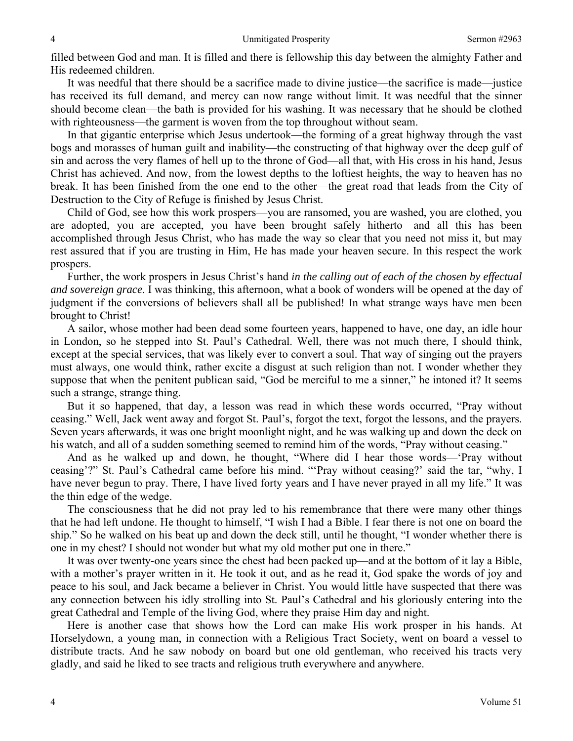filled between God and man. It is filled and there is fellowship this day between the almighty Father and His redeemed children.

 It was needful that there should be a sacrifice made to divine justice—the sacrifice is made—justice has received its full demand, and mercy can now range without limit. It was needful that the sinner should become clean—the bath is provided for his washing. It was necessary that he should be clothed with righteousness—the garment is woven from the top throughout without seam.

 In that gigantic enterprise which Jesus undertook—the forming of a great highway through the vast bogs and morasses of human guilt and inability—the constructing of that highway over the deep gulf of sin and across the very flames of hell up to the throne of God—all that, with His cross in his hand, Jesus Christ has achieved. And now, from the lowest depths to the loftiest heights, the way to heaven has no break. It has been finished from the one end to the other—the great road that leads from the City of Destruction to the City of Refuge is finished by Jesus Christ.

 Child of God, see how this work prospers—you are ransomed, you are washed, you are clothed, you are adopted, you are accepted, you have been brought safely hitherto—and all this has been accomplished through Jesus Christ, who has made the way so clear that you need not miss it, but may rest assured that if you are trusting in Him, He has made your heaven secure. In this respect the work prospers.

 Further, the work prospers in Jesus Christ's hand *in the calling out of each of the chosen by effectual and sovereign grace*. I was thinking, this afternoon, what a book of wonders will be opened at the day of judgment if the conversions of believers shall all be published! In what strange ways have men been brought to Christ!

 A sailor, whose mother had been dead some fourteen years, happened to have, one day, an idle hour in London, so he stepped into St. Paul's Cathedral. Well, there was not much there, I should think, except at the special services, that was likely ever to convert a soul. That way of singing out the prayers must always, one would think, rather excite a disgust at such religion than not. I wonder whether they suppose that when the penitent publican said, "God be merciful to me a sinner," he intoned it? It seems such a strange, strange thing.

 But it so happened, that day, a lesson was read in which these words occurred, "Pray without ceasing." Well, Jack went away and forgot St. Paul's, forgot the text, forgot the lessons, and the prayers. Seven years afterwards, it was one bright moonlight night, and he was walking up and down the deck on his watch, and all of a sudden something seemed to remind him of the words, "Pray without ceasing."

 And as he walked up and down, he thought, "Where did I hear those words—'Pray without ceasing'?" St. Paul's Cathedral came before his mind. "'Pray without ceasing?' said the tar, "why, I have never begun to pray. There, I have lived forty years and I have never prayed in all my life." It was the thin edge of the wedge.

 The consciousness that he did not pray led to his remembrance that there were many other things that he had left undone. He thought to himself, "I wish I had a Bible. I fear there is not one on board the ship." So he walked on his beat up and down the deck still, until he thought, "I wonder whether there is one in my chest? I should not wonder but what my old mother put one in there."

 It was over twenty-one years since the chest had been packed up—and at the bottom of it lay a Bible, with a mother's prayer written in it. He took it out, and as he read it, God spake the words of joy and peace to his soul, and Jack became a believer in Christ. You would little have suspected that there was any connection between his idly strolling into St. Paul's Cathedral and his gloriously entering into the great Cathedral and Temple of the living God, where they praise Him day and night.

 Here is another case that shows how the Lord can make His work prosper in his hands. At Horselydown, a young man, in connection with a Religious Tract Society, went on board a vessel to distribute tracts. And he saw nobody on board but one old gentleman, who received his tracts very gladly, and said he liked to see tracts and religious truth everywhere and anywhere.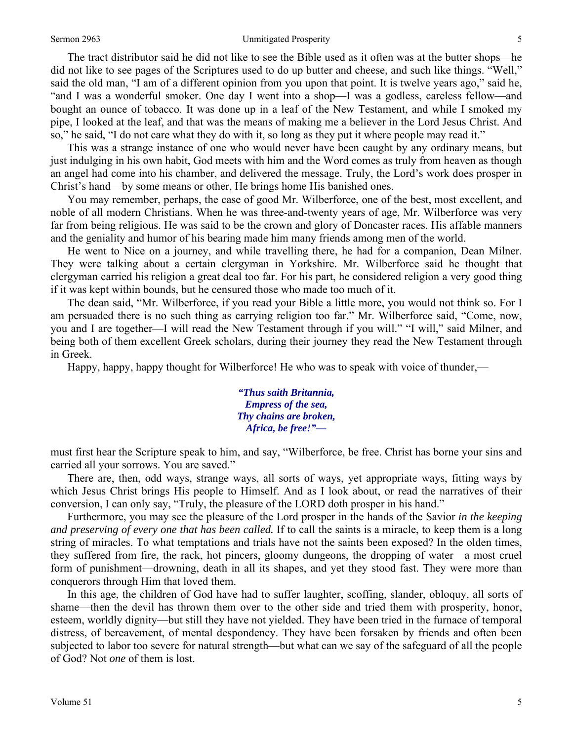#### Sermon 2963 **Sermon 2963** Unmitigated Prosperity 5

 The tract distributor said he did not like to see the Bible used as it often was at the butter shops—he did not like to see pages of the Scriptures used to do up butter and cheese, and such like things. "Well," said the old man, "I am of a different opinion from you upon that point. It is twelve years ago," said he, "and I was a wonderful smoker. One day I went into a shop—I was a godless, careless fellow—and bought an ounce of tobacco. It was done up in a leaf of the New Testament, and while I smoked my pipe, I looked at the leaf, and that was the means of making me a believer in the Lord Jesus Christ. And so," he said, "I do not care what they do with it, so long as they put it where people may read it."

 This was a strange instance of one who would never have been caught by any ordinary means, but just indulging in his own habit, God meets with him and the Word comes as truly from heaven as though an angel had come into his chamber, and delivered the message. Truly, the Lord's work does prosper in Christ's hand—by some means or other, He brings home His banished ones.

 You may remember, perhaps, the case of good Mr. Wilberforce, one of the best, most excellent, and noble of all modern Christians. When he was three-and-twenty years of age, Mr. Wilberforce was very far from being religious. He was said to be the crown and glory of Doncaster races. His affable manners and the geniality and humor of his bearing made him many friends among men of the world.

 He went to Nice on a journey, and while travelling there, he had for a companion, Dean Milner. They were talking about a certain clergyman in Yorkshire. Mr. Wilberforce said he thought that clergyman carried his religion a great deal too far. For his part, he considered religion a very good thing if it was kept within bounds, but he censured those who made too much of it.

 The dean said, "Mr. Wilberforce, if you read your Bible a little more, you would not think so. For I am persuaded there is no such thing as carrying religion too far." Mr. Wilberforce said, "Come, now, you and I are together—I will read the New Testament through if you will." "I will," said Milner, and being both of them excellent Greek scholars, during their journey they read the New Testament through in Greek.

Happy, happy, happy thought for Wilberforce! He who was to speak with voice of thunder,—

*"Thus saith Britannia, Empress of the sea, Thy chains are broken, Africa, be free!"—* 

must first hear the Scripture speak to him, and say, "Wilberforce, be free. Christ has borne your sins and carried all your sorrows. You are saved."

 There are, then, odd ways, strange ways, all sorts of ways, yet appropriate ways, fitting ways by which Jesus Christ brings His people to Himself. And as I look about, or read the narratives of their conversion, I can only say, "Truly, the pleasure of the LORD doth prosper in his hand."

 Furthermore, you may see the pleasure of the Lord prosper in the hands of the Savior *in the keeping and preserving of every one that has been called.* If to call the saints is a miracle, to keep them is a long string of miracles. To what temptations and trials have not the saints been exposed? In the olden times, they suffered from fire, the rack, hot pincers, gloomy dungeons, the dropping of water—a most cruel form of punishment—drowning, death in all its shapes, and yet they stood fast. They were more than conquerors through Him that loved them.

 In this age, the children of God have had to suffer laughter, scoffing, slander, obloquy, all sorts of shame—then the devil has thrown them over to the other side and tried them with prosperity, honor, esteem, worldly dignity—but still they have not yielded. They have been tried in the furnace of temporal distress, of bereavement, of mental despondency. They have been forsaken by friends and often been subjected to labor too severe for natural strength—but what can we say of the safeguard of all the people of God? Not *one* of them is lost.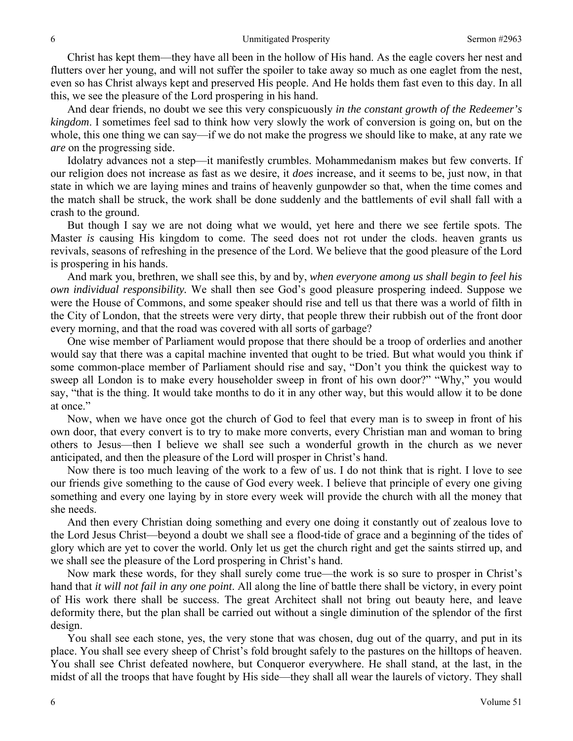Christ has kept them—they have all been in the hollow of His hand. As the eagle covers her nest and flutters over her young, and will not suffer the spoiler to take away so much as one eaglet from the nest, even so has Christ always kept and preserved His people. And He holds them fast even to this day. In all this, we see the pleasure of the Lord prospering in his hand.

 And dear friends, no doubt we see this very conspicuously *in the constant growth of the Redeemer's kingdom*. I sometimes feel sad to think how very slowly the work of conversion is going on, but on the whole, this one thing we can say—if we do not make the progress we should like to make, at any rate we *are* on the progressing side.

 Idolatry advances not a step—it manifestly crumbles. Mohammedanism makes but few converts. If our religion does not increase as fast as we desire, it *does* increase, and it seems to be, just now, in that state in which we are laying mines and trains of heavenly gunpowder so that, when the time comes and the match shall be struck, the work shall be done suddenly and the battlements of evil shall fall with a crash to the ground.

 But though I say we are not doing what we would, yet here and there we see fertile spots. The Master *is* causing His kingdom to come. The seed does not rot under the clods. heaven grants us revivals, seasons of refreshing in the presence of the Lord. We believe that the good pleasure of the Lord is prospering in his hands.

 And mark you, brethren, we shall see this, by and by, *when everyone among us shall begin to feel his own individual responsibility.* We shall then see God's good pleasure prospering indeed. Suppose we were the House of Commons, and some speaker should rise and tell us that there was a world of filth in the City of London, that the streets were very dirty, that people threw their rubbish out of the front door every morning, and that the road was covered with all sorts of garbage?

 One wise member of Parliament would propose that there should be a troop of orderlies and another would say that there was a capital machine invented that ought to be tried. But what would you think if some common-place member of Parliament should rise and say, "Don't you think the quickest way to sweep all London is to make every householder sweep in front of his own door?" "Why," you would say, "that is the thing. It would take months to do it in any other way, but this would allow it to be done at once."

 Now, when we have once got the church of God to feel that every man is to sweep in front of his own door, that every convert is to try to make more converts, every Christian man and woman to bring others to Jesus—then I believe we shall see such a wonderful growth in the church as we never anticipated, and then the pleasure of the Lord will prosper in Christ's hand.

 Now there is too much leaving of the work to a few of us. I do not think that is right. I love to see our friends give something to the cause of God every week. I believe that principle of every one giving something and every one laying by in store every week will provide the church with all the money that she needs.

 And then every Christian doing something and every one doing it constantly out of zealous love to the Lord Jesus Christ—beyond a doubt we shall see a flood-tide of grace and a beginning of the tides of glory which are yet to cover the world. Only let us get the church right and get the saints stirred up, and we shall see the pleasure of the Lord prospering in Christ's hand.

 Now mark these words, for they shall surely come true—the work is so sure to prosper in Christ's hand that *it will not fail in any one point*. All along the line of battle there shall be victory, in every point of His work there shall be success. The great Architect shall not bring out beauty here, and leave deformity there, but the plan shall be carried out without a single diminution of the splendor of the first design.

 You shall see each stone, yes, the very stone that was chosen, dug out of the quarry, and put in its place. You shall see every sheep of Christ's fold brought safely to the pastures on the hilltops of heaven. You shall see Christ defeated nowhere, but Conqueror everywhere. He shall stand, at the last, in the midst of all the troops that have fought by His side—they shall all wear the laurels of victory. They shall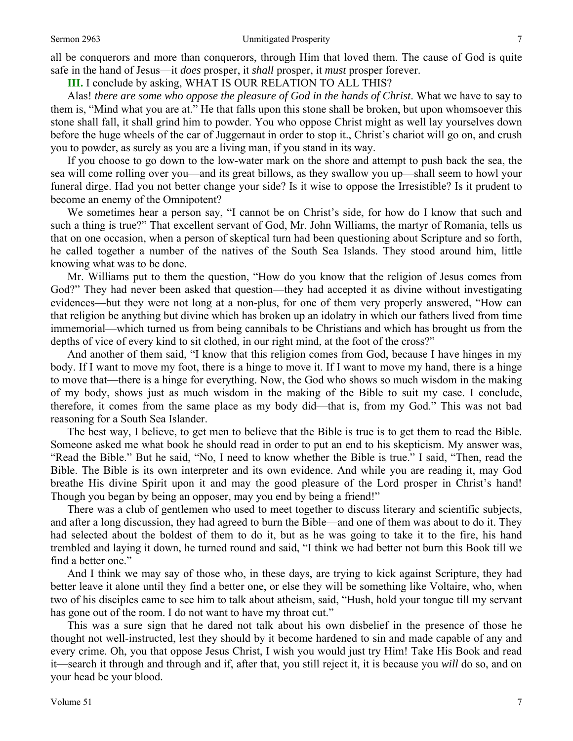all be conquerors and more than conquerors, through Him that loved them. The cause of God is quite safe in the hand of Jesus—it *does* prosper, it *shall* prosper, it *must* prosper forever.

**III.** I conclude by asking, WHAT IS OUR RELATION TO ALL THIS?

 Alas! *there are some who oppose the pleasure of God in the hands of Christ*. What we have to say to them is, "Mind what you are at." He that falls upon this stone shall be broken, but upon whomsoever this stone shall fall, it shall grind him to powder. You who oppose Christ might as well lay yourselves down before the huge wheels of the car of Juggernaut in order to stop it., Christ's chariot will go on, and crush you to powder, as surely as you are a living man, if you stand in its way.

 If you choose to go down to the low-water mark on the shore and attempt to push back the sea, the sea will come rolling over you—and its great billows, as they swallow you up—shall seem to howl your funeral dirge. Had you not better change your side? Is it wise to oppose the Irresistible? Is it prudent to become an enemy of the Omnipotent?

 We sometimes hear a person say, "I cannot be on Christ's side, for how do I know that such and such a thing is true?" That excellent servant of God, Mr. John Williams, the martyr of Romania, tells us that on one occasion, when a person of skeptical turn had been questioning about Scripture and so forth, he called together a number of the natives of the South Sea Islands. They stood around him, little knowing what was to be done.

 Mr. Williams put to them the question, "How do you know that the religion of Jesus comes from God?" They had never been asked that question—they had accepted it as divine without investigating evidences—but they were not long at a non-plus, for one of them very properly answered, "How can that religion be anything but divine which has broken up an idolatry in which our fathers lived from time immemorial—which turned us from being cannibals to be Christians and which has brought us from the depths of vice of every kind to sit clothed, in our right mind, at the foot of the cross?"

 And another of them said, "I know that this religion comes from God, because I have hinges in my body. If I want to move my foot, there is a hinge to move it. If I want to move my hand, there is a hinge to move that—there is a hinge for everything. Now, the God who shows so much wisdom in the making of my body, shows just as much wisdom in the making of the Bible to suit my case. I conclude, therefore, it comes from the same place as my body did—that is, from my God." This was not bad reasoning for a South Sea Islander.

 The best way, I believe, to get men to believe that the Bible is true is to get them to read the Bible. Someone asked me what book he should read in order to put an end to his skepticism. My answer was, "Read the Bible." But he said, "No, I need to know whether the Bible is true." I said, "Then, read the Bible. The Bible is its own interpreter and its own evidence. And while you are reading it, may God breathe His divine Spirit upon it and may the good pleasure of the Lord prosper in Christ's hand! Though you began by being an opposer, may you end by being a friend!"

 There was a club of gentlemen who used to meet together to discuss literary and scientific subjects, and after a long discussion, they had agreed to burn the Bible—and one of them was about to do it. They had selected about the boldest of them to do it, but as he was going to take it to the fire, his hand trembled and laying it down, he turned round and said, "I think we had better not burn this Book till we find a better one."

 And I think we may say of those who, in these days, are trying to kick against Scripture, they had better leave it alone until they find a better one, or else they will be something like Voltaire, who, when two of his disciples came to see him to talk about atheism, said, "Hush, hold your tongue till my servant has gone out of the room. I do not want to have my throat cut."

 This was a sure sign that he dared not talk about his own disbelief in the presence of those he thought not well-instructed, lest they should by it become hardened to sin and made capable of any and every crime. Oh, you that oppose Jesus Christ, I wish you would just try Him! Take His Book and read it—search it through and through and if, after that, you still reject it, it is because you *will* do so, and on your head be your blood.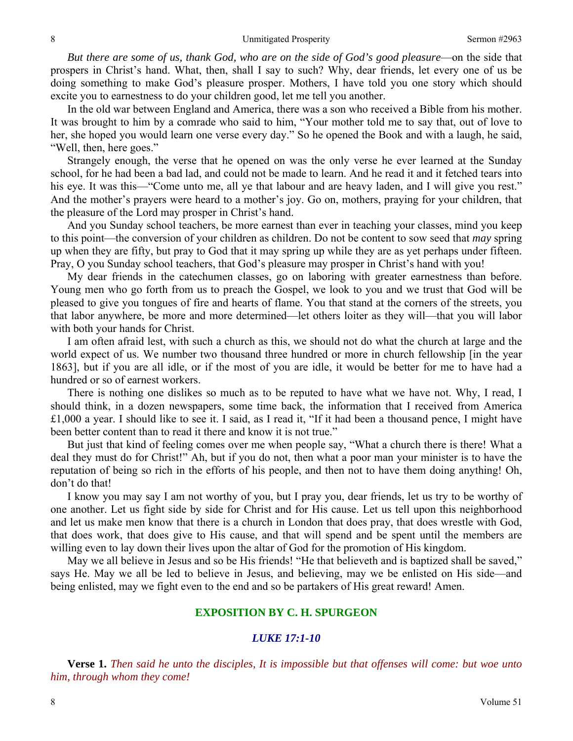*But there are some of us, thank God, who are on the side of God's good pleasure*—on the side that prospers in Christ's hand. What, then, shall I say to such? Why, dear friends, let every one of us be doing something to make God's pleasure prosper. Mothers, I have told you one story which should excite you to earnestness to do your children good, let me tell you another.

 In the old war between England and America, there was a son who received a Bible from his mother. It was brought to him by a comrade who said to him, "Your mother told me to say that, out of love to her, she hoped you would learn one verse every day." So he opened the Book and with a laugh, he said, "Well, then, here goes."

 Strangely enough, the verse that he opened on was the only verse he ever learned at the Sunday school, for he had been a bad lad, and could not be made to learn. And he read it and it fetched tears into his eye. It was this—"Come unto me, all ye that labour and are heavy laden, and I will give you rest." And the mother's prayers were heard to a mother's joy. Go on, mothers, praying for your children, that the pleasure of the Lord may prosper in Christ's hand.

 And you Sunday school teachers, be more earnest than ever in teaching your classes, mind you keep to this point—the conversion of your children as children. Do not be content to sow seed that *may* spring up when they are fifty, but pray to God that it may spring up while they are as yet perhaps under fifteen. Pray, O you Sunday school teachers, that God's pleasure may prosper in Christ's hand with you!

 My dear friends in the catechumen classes, go on laboring with greater earnestness than before. Young men who go forth from us to preach the Gospel, we look to you and we trust that God will be pleased to give you tongues of fire and hearts of flame. You that stand at the corners of the streets, you that labor anywhere, be more and more determined—let others loiter as they will—that you will labor with both your hands for Christ.

 I am often afraid lest, with such a church as this, we should not do what the church at large and the world expect of us. We number two thousand three hundred or more in church fellowship [in the year 1863], but if you are all idle, or if the most of you are idle, it would be better for me to have had a hundred or so of earnest workers.

 There is nothing one dislikes so much as to be reputed to have what we have not. Why, I read, I should think, in a dozen newspapers, some time back, the information that I received from America £1,000 a year. I should like to see it. I said, as I read it, "If it had been a thousand pence, I might have been better content than to read it there and know it is not true."

 But just that kind of feeling comes over me when people say, "What a church there is there! What a deal they must do for Christ!" Ah, but if you do not, then what a poor man your minister is to have the reputation of being so rich in the efforts of his people, and then not to have them doing anything! Oh, don't do that!

 I know you may say I am not worthy of you, but I pray you, dear friends, let us try to be worthy of one another. Let us fight side by side for Christ and for His cause. Let us tell upon this neighborhood and let us make men know that there is a church in London that does pray, that does wrestle with God, that does work, that does give to His cause, and that will spend and be spent until the members are willing even to lay down their lives upon the altar of God for the promotion of His kingdom.

 May we all believe in Jesus and so be His friends! "He that believeth and is baptized shall be saved," says He. May we all be led to believe in Jesus, and believing, may we be enlisted on His side—and being enlisted, may we fight even to the end and so be partakers of His great reward! Amen.

# **EXPOSITION BY C. H. SPURGEON**

## *LUKE 17:1-10*

**Verse 1.** *Then said he unto the disciples, It is impossible but that offenses will come: but woe unto him, through whom they come!*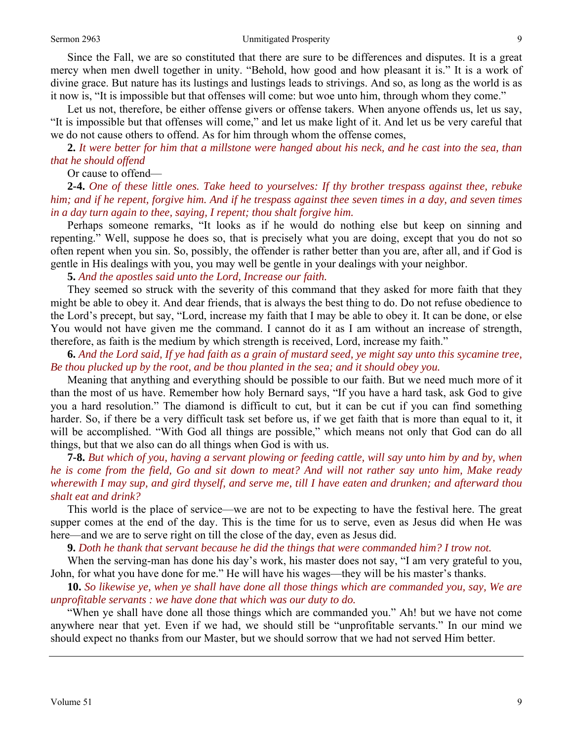#### Sermon 2963 **Sermon 2963** Unmitigated Prosperity 9

Since the Fall, we are so constituted that there are sure to be differences and disputes. It is a great mercy when men dwell together in unity. "Behold, how good and how pleasant it is." It is a work of divine grace. But nature has its lustings and lustings leads to strivings. And so, as long as the world is as it now is, "It is impossible but that offenses will come: but woe unto him, through whom they come."

 Let us not, therefore, be either offense givers or offense takers. When anyone offends us, let us say, "It is impossible but that offenses will come," and let us make light of it. And let us be very careful that we do not cause others to offend. As for him through whom the offense comes,

**2.** *It were better for him that a millstone were hanged about his neck, and he cast into the sea, than that he should offend* 

Or cause to offend—

**2-4.** *One of these little ones. Take heed to yourselves: If thy brother trespass against thee, rebuke him; and if he repent, forgive him. And if he trespass against thee seven times in a day, and seven times in a day turn again to thee, saying, I repent; thou shalt forgive him.* 

Perhaps someone remarks, "It looks as if he would do nothing else but keep on sinning and repenting." Well, suppose he does so, that is precisely what you are doing, except that you do not so often repent when you sin. So, possibly, the offender is rather better than you are, after all, and if God is gentle in His dealings with you, you may well be gentle in your dealings with your neighbor.

**5.** *And the apostles said unto the Lord, Increase our faith.* 

They seemed so struck with the severity of this command that they asked for more faith that they might be able to obey it. And dear friends, that is always the best thing to do. Do not refuse obedience to the Lord's precept, but say, "Lord, increase my faith that I may be able to obey it. It can be done, or else You would not have given me the command. I cannot do it as I am without an increase of strength, therefore, as faith is the medium by which strength is received, Lord, increase my faith."

**6.** *And the Lord said, If ye had faith as a grain of mustard seed, ye might say unto this sycamine tree, Be thou plucked up by the root, and be thou planted in the sea; and it should obey you.* 

Meaning that anything and everything should be possible to our faith. But we need much more of it than the most of us have. Remember how holy Bernard says, "If you have a hard task, ask God to give you a hard resolution." The diamond is difficult to cut, but it can be cut if you can find something harder. So, if there be a very difficult task set before us, if we get faith that is more than equal to it, it will be accomplished. "With God all things are possible," which means not only that God can do all things, but that we also can do all things when God is with us.

**7-8.** *But which of you, having a servant plowing or feeding cattle, will say unto him by and by, when he is come from the field, Go and sit down to meat? And will not rather say unto him, Make ready wherewith I may sup, and gird thyself, and serve me, till I have eaten and drunken; and afterward thou shalt eat and drink?* 

This world is the place of service—we are not to be expecting to have the festival here. The great supper comes at the end of the day. This is the time for us to serve, even as Jesus did when He was here—and we are to serve right on till the close of the day, even as Jesus did.

**9.** *Doth he thank that servant because he did the things that were commanded him? I trow not.* 

When the serving-man has done his day's work, his master does not say, "I am very grateful to you, John, for what you have done for me." He will have his wages—they will be his master's thanks.

**10.** *So likewise ye, when ye shall have done all those things which are commanded you, say, We are unprofitable servants : we have done that which was our duty to do.* 

"When ye shall have done all those things which are commanded you." Ah! but we have not come anywhere near that yet. Even if we had, we should still be "unprofitable servants." In our mind we should expect no thanks from our Master, but we should sorrow that we had not served Him better.